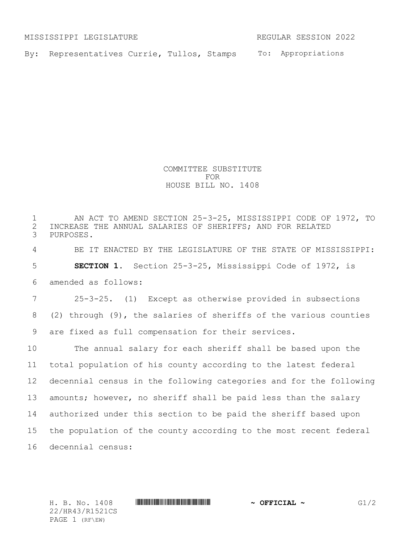MISSISSIPPI LEGISLATURE REGULAR SESSION 2022

By: Representatives Currie, Tullos, Stamps To: Appropriations

COMMITTEE SUBSTITUTE FOR HOUSE BILL NO. 1408

 AN ACT TO AMEND SECTION 25-3-25, MISSISSIPPI CODE OF 1972, TO 2 INCREASE THE ANNUAL SALARIES OF SHERIFFS; AND FOR RELATED<br>3 PURPOSES. PURPOSES. BE IT ENACTED BY THE LEGISLATURE OF THE STATE OF MISSISSIPPI: **SECTION 1.** Section 25-3-25, Mississippi Code of 1972, is amended as follows: 25-3-25. (1) Except as otherwise provided in subsections (2) through (9), the salaries of sheriffs of the various counties are fixed as full compensation for their services. The annual salary for each sheriff shall be based upon the total population of his county according to the latest federal decennial census in the following categories and for the following amounts; however, no sheriff shall be paid less than the salary authorized under this section to be paid the sheriff based upon the population of the county according to the most recent federal decennial census:

22/HR43/R1521CS PAGE 1 (RF\EW)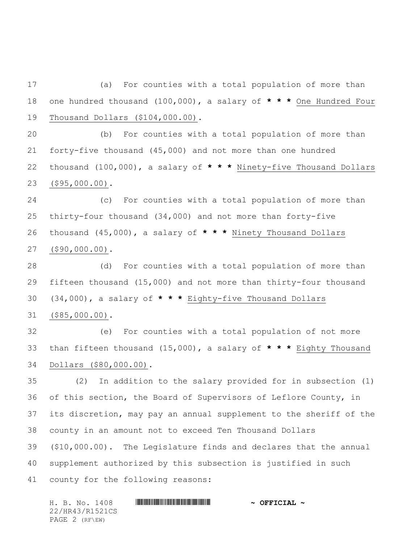(a) For counties with a total population of more than one hundred thousand (100,000), a salary of **\* \* \*** One Hundred Four Thousand Dollars (\$104,000.00).

 (b) For counties with a total population of more than forty-five thousand (45,000) and not more than one hundred thousand (100,000), a salary of **\* \* \*** Ninety-five Thousand Dollars (\$95,000.00).

 (c) For counties with a total population of more than thirty-four thousand (34,000) and not more than forty-five thousand (45,000), a salary of **\* \* \*** Ninety Thousand Dollars (\$90,000.00).

 (d) For counties with a total population of more than fifteen thousand (15,000) and not more than thirty-four thousand (34,000), a salary of **\* \* \*** Eighty-five Thousand Dollars (\$85,000.00).

 (e) For counties with a total population of not more than fifteen thousand (15,000), a salary of **\* \* \*** Eighty Thousand Dollars (\$80,000.00).

 (2) In addition to the salary provided for in subsection (1) of this section, the Board of Supervisors of Leflore County, in its discretion, may pay an annual supplement to the sheriff of the county in an amount not to exceed Ten Thousand Dollars (\$10,000.00). The Legislature finds and declares that the annual supplement authorized by this subsection is justified in such county for the following reasons:

H. B. No. 1408 \*HR43/R1521CS\* **~ OFFICIAL ~** 22/HR43/R1521CS PAGE 2 (RF\EW)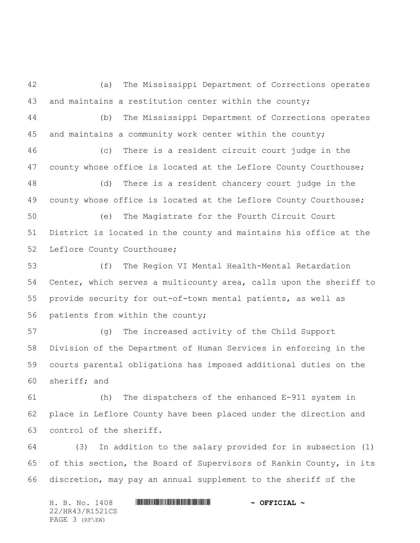(a) The Mississippi Department of Corrections operates and maintains a restitution center within the county;

 (b) The Mississippi Department of Corrections operates and maintains a community work center within the county;

 (c) There is a resident circuit court judge in the county whose office is located at the Leflore County Courthouse;

 (d) There is a resident chancery court judge in the county whose office is located at the Leflore County Courthouse;

 (e) The Magistrate for the Fourth Circuit Court District is located in the county and maintains his office at the Leflore County Courthouse;

 (f) The Region VI Mental Health-Mental Retardation Center, which serves a multicounty area, calls upon the sheriff to provide security for out-of-town mental patients, as well as patients from within the county;

 (g) The increased activity of the Child Support Division of the Department of Human Services in enforcing in the courts parental obligations has imposed additional duties on the sheriff; and

 (h) The dispatchers of the enhanced E-911 system in place in Leflore County have been placed under the direction and control of the sheriff.

 (3) In addition to the salary provided for in subsection (1) of this section, the Board of Supervisors of Rankin County, in its discretion, may pay an annual supplement to the sheriff of the

H. B. No. 1408 \*HR43/R1521CS\* **~ OFFICIAL ~** 22/HR43/R1521CS PAGE 3 (RF\EW)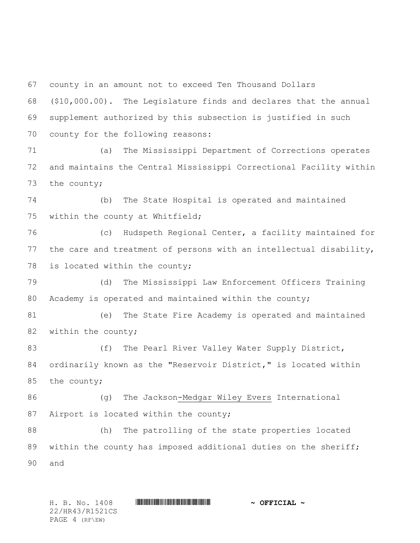county in an amount not to exceed Ten Thousand Dollars

 (\$10,000.00). The Legislature finds and declares that the annual supplement authorized by this subsection is justified in such county for the following reasons:

 (a) The Mississippi Department of Corrections operates and maintains the Central Mississippi Correctional Facility within the county;

 (b) The State Hospital is operated and maintained within the county at Whitfield;

 (c) Hudspeth Regional Center, a facility maintained for the care and treatment of persons with an intellectual disability, is located within the county;

 (d) The Mississippi Law Enforcement Officers Training Academy is operated and maintained within the county;

 (e) The State Fire Academy is operated and maintained 82 within the county;

83 (f) The Pearl River Valley Water Supply District, ordinarily known as the "Reservoir District," is located within the county;

 (g) The Jackson-Medgar Wiley Evers International Airport is located within the county;

 (h) The patrolling of the state properties located 89 within the county has imposed additional duties on the sheriff; and

H. B. No. 1408 \*HR43/R1521CS\* **~ OFFICIAL ~** 22/HR43/R1521CS PAGE 4 (RF\EW)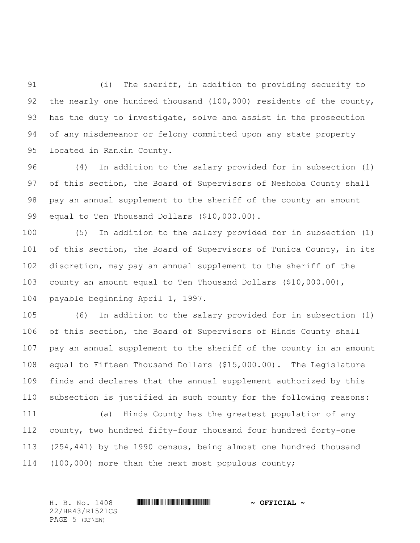(i) The sheriff, in addition to providing security to 92 the nearly one hundred thousand (100,000) residents of the county, has the duty to investigate, solve and assist in the prosecution of any misdemeanor or felony committed upon any state property located in Rankin County.

 (4) In addition to the salary provided for in subsection (1) 97 of this section, the Board of Supervisors of Neshoba County shall pay an annual supplement to the sheriff of the county an amount equal to Ten Thousand Dollars (\$10,000.00).

 (5) In addition to the salary provided for in subsection (1) 101 of this section, the Board of Supervisors of Tunica County, in its discretion, may pay an annual supplement to the sheriff of the county an amount equal to Ten Thousand Dollars (\$10,000.00), payable beginning April 1, 1997.

 (6) In addition to the salary provided for in subsection (1) of this section, the Board of Supervisors of Hinds County shall pay an annual supplement to the sheriff of the county in an amount equal to Fifteen Thousand Dollars (\$15,000.00). The Legislature finds and declares that the annual supplement authorized by this subsection is justified in such county for the following reasons:

 (a) Hinds County has the greatest population of any county, two hundred fifty-four thousand four hundred forty-one (254,441) by the 1990 census, being almost one hundred thousand (100,000) more than the next most populous county;

H. B. No. 1408 \*HR43/R1521CS\* **~ OFFICIAL ~** 22/HR43/R1521CS PAGE 5 (RF\EW)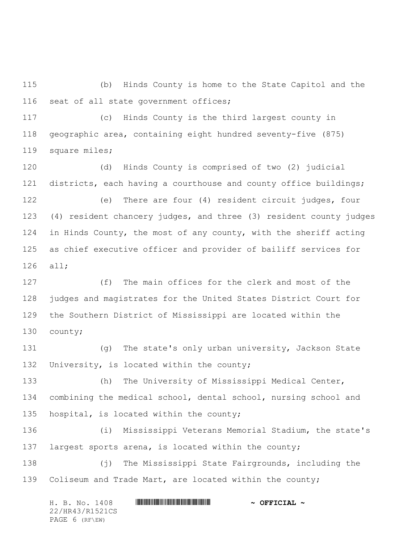(b) Hinds County is home to the State Capitol and the seat of all state government offices;

 (c) Hinds County is the third largest county in geographic area, containing eight hundred seventy-five (875) square miles;

 (d) Hinds County is comprised of two (2) judicial districts, each having a courthouse and county office buildings;

 (e) There are four (4) resident circuit judges, four (4) resident chancery judges, and three (3) resident county judges in Hinds County, the most of any county, with the sheriff acting as chief executive officer and provider of bailiff services for all;

 (f) The main offices for the clerk and most of the judges and magistrates for the United States District Court for the Southern District of Mississippi are located within the county;

 (g) The state's only urban university, Jackson State University, is located within the county;

 (h) The University of Mississippi Medical Center, combining the medical school, dental school, nursing school and 135 hospital, is located within the county;

 (i) Mississippi Veterans Memorial Stadium, the state's largest sports arena, is located within the county;

 (j) The Mississippi State Fairgrounds, including the Coliseum and Trade Mart, are located within the county;

H. B. No. 1408 \*HR43/R1521CS\* **~ OFFICIAL ~** 22/HR43/R1521CS PAGE 6 (RF\EW)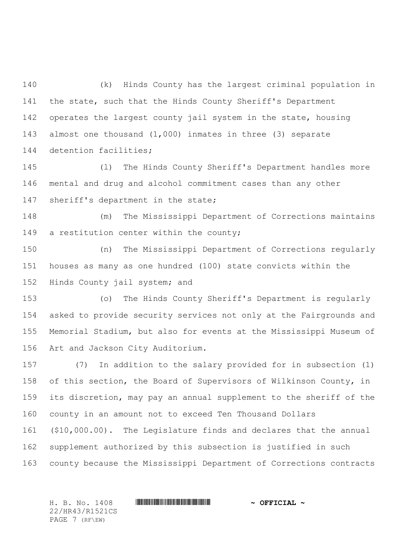(k) Hinds County has the largest criminal population in the state, such that the Hinds County Sheriff's Department operates the largest county jail system in the state, housing almost one thousand (1,000) inmates in three (3) separate detention facilities;

 (l) The Hinds County Sheriff's Department handles more mental and drug and alcohol commitment cases than any other sheriff's department in the state;

 (m) The Mississippi Department of Corrections maintains 149 a restitution center within the county;

 (n) The Mississippi Department of Corrections regularly houses as many as one hundred (100) state convicts within the Hinds County jail system; and

 (o) The Hinds County Sheriff's Department is regularly asked to provide security services not only at the Fairgrounds and Memorial Stadium, but also for events at the Mississippi Museum of Art and Jackson City Auditorium.

 (7) In addition to the salary provided for in subsection (1) of this section, the Board of Supervisors of Wilkinson County, in its discretion, may pay an annual supplement to the sheriff of the county in an amount not to exceed Ten Thousand Dollars (\$10,000.00). The Legislature finds and declares that the annual supplement authorized by this subsection is justified in such county because the Mississippi Department of Corrections contracts

H. B. No. 1408 \*HR43/R1521CS\* **~ OFFICIAL ~** 22/HR43/R1521CS PAGE 7 (RF\EW)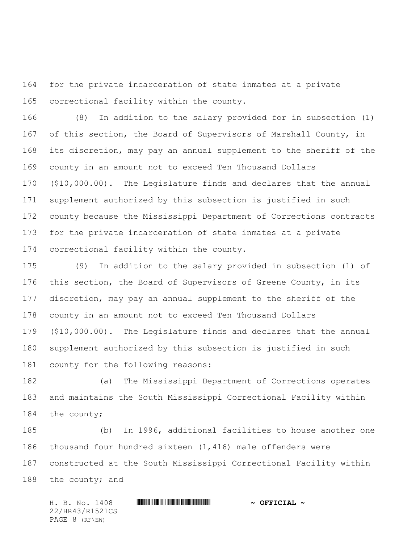for the private incarceration of state inmates at a private correctional facility within the county.

 (8) In addition to the salary provided for in subsection (1) of this section, the Board of Supervisors of Marshall County, in its discretion, may pay an annual supplement to the sheriff of the county in an amount not to exceed Ten Thousand Dollars (\$10,000.00). The Legislature finds and declares that the annual supplement authorized by this subsection is justified in such county because the Mississippi Department of Corrections contracts for the private incarceration of state inmates at a private correctional facility within the county.

 (9) In addition to the salary provided in subsection (1) of this section, the Board of Supervisors of Greene County, in its discretion, may pay an annual supplement to the sheriff of the county in an amount not to exceed Ten Thousand Dollars (\$10,000.00). The Legislature finds and declares that the annual supplement authorized by this subsection is justified in such county for the following reasons:

 (a) The Mississippi Department of Corrections operates and maintains the South Mississippi Correctional Facility within the county;

 (b) In 1996, additional facilities to house another one thousand four hundred sixteen (1,416) male offenders were constructed at the South Mississippi Correctional Facility within 188 the county; and

H. B. No. 1408 \*HR43/R1521CS\* **~ OFFICIAL ~** 22/HR43/R1521CS PAGE 8 (RF\EW)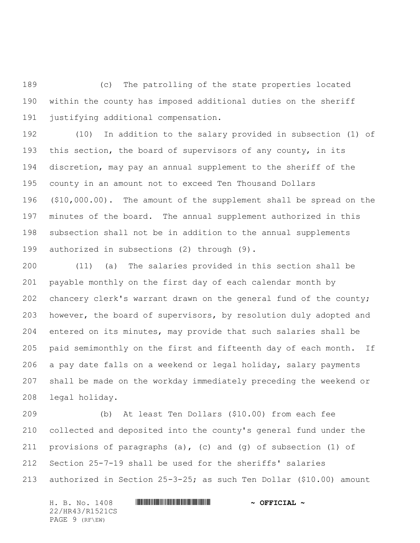(c) The patrolling of the state properties located within the county has imposed additional duties on the sheriff justifying additional compensation.

 (10) In addition to the salary provided in subsection (1) of this section, the board of supervisors of any county, in its discretion, may pay an annual supplement to the sheriff of the county in an amount not to exceed Ten Thousand Dollars (\$10,000.00). The amount of the supplement shall be spread on the minutes of the board. The annual supplement authorized in this subsection shall not be in addition to the annual supplements authorized in subsections (2) through (9).

 (11) (a) The salaries provided in this section shall be payable monthly on the first day of each calendar month by chancery clerk's warrant drawn on the general fund of the county; however, the board of supervisors, by resolution duly adopted and entered on its minutes, may provide that such salaries shall be paid semimonthly on the first and fifteenth day of each month. If a pay date falls on a weekend or legal holiday, salary payments shall be made on the workday immediately preceding the weekend or legal holiday.

 (b) At least Ten Dollars (\$10.00) from each fee collected and deposited into the county's general fund under the provisions of paragraphs (a), (c) and (g) of subsection (1) of Section 25-7-19 shall be used for the sheriffs' salaries authorized in Section 25-3-25; as such Ten Dollar (\$10.00) amount

H. B. No. 1408 \*HR43/R1521CS\* **~ OFFICIAL ~** 22/HR43/R1521CS PAGE 9 (RF\EW)